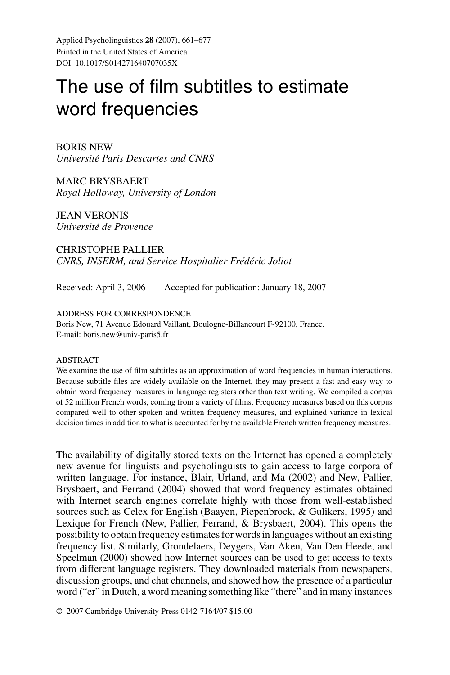Applied Psycholinguistics **28** (2007), 661–677 Printed in the United States of America DOI: 10.1017/S014271640707035X

# The use of film subtitles to estimate word frequencies

BORIS NEW *Universite Paris Descartes and CNRS ´*

MARC BRYSBAERT *Royal Holloway, University of London*

JEAN VERONIS *Universite de Provence ´*

CHRISTOPHE PALLIER *CNRS, INSERM, and Service Hospitalier Frédéric Joliot* 

Received: April 3, 2006 Accepted for publication: January 18, 2007

#### ADDRESS FOR CORRESPONDENCE

Boris New, 71 Avenue Edouard Vaillant, Boulogne-Billancourt F-92100, France. E-mail: boris.new@univ-paris5.fr

#### ABSTRACT

We examine the use of film subtitles as an approximation of word frequencies in human interactions. Because subtitle files are widely available on the Internet, they may present a fast and easy way to obtain word frequency measures in language registers other than text writing. We compiled a corpus of 52 million French words, coming from a variety of films. Frequency measures based on this corpus compared well to other spoken and written frequency measures, and explained variance in lexical decision times in addition to what is accounted for by the available French written frequency measures.

The availability of digitally stored texts on the Internet has opened a completely new avenue for linguists and psycholinguists to gain access to large corpora of written language. For instance, Blair, Urland, and Ma (2002) and New, Pallier, Brysbaert, and Ferrand (2004) showed that word frequency estimates obtained with Internet search engines correlate highly with those from well-established sources such as Celex for English (Baayen, Piepenbrock, & Gulikers, 1995) and Lexique for French (New, Pallier, Ferrand, & Brysbaert, 2004). This opens the possibility to obtain frequency estimates for words in languages without an existing frequency list. Similarly, Grondelaers, Deygers, Van Aken, Van Den Heede, and Speelman (2000) showed how Internet sources can be used to get access to texts from different language registers. They downloaded materials from newspapers, discussion groups, and chat channels, and showed how the presence of a particular word ("er" in Dutch, a word meaning something like "there" and in many instances

© 2007 Cambridge University Press 0142-7164/07 \$15.00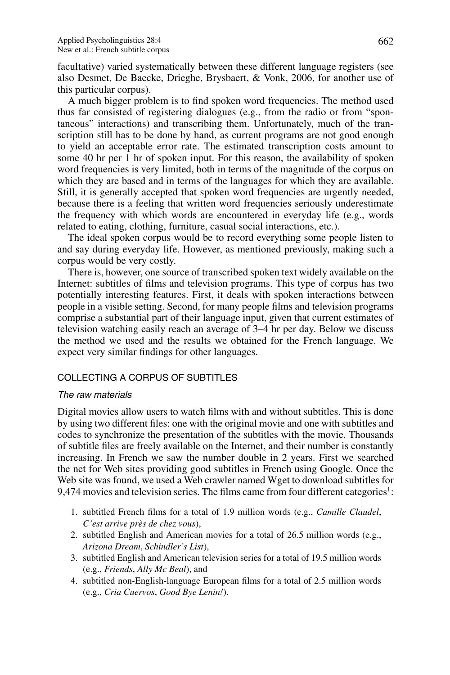facultative) varied systematically between these different language registers (see also Desmet, De Baecke, Drieghe, Brysbaert, & Vonk, 2006, for another use of this particular corpus).

A much bigger problem is to find spoken word frequencies. The method used thus far consisted of registering dialogues (e.g., from the radio or from "spontaneous" interactions) and transcribing them. Unfortunately, much of the transcription still has to be done by hand, as current programs are not good enough to yield an acceptable error rate. The estimated transcription costs amount to some 40 hr per 1 hr of spoken input. For this reason, the availability of spoken word frequencies is very limited, both in terms of the magnitude of the corpus on which they are based and in terms of the languages for which they are available. Still, it is generally accepted that spoken word frequencies are urgently needed, because there is a feeling that written word frequencies seriously underestimate the frequency with which words are encountered in everyday life (e.g., words related to eating, clothing, furniture, casual social interactions, etc.).

The ideal spoken corpus would be to record everything some people listen to and say during everyday life. However, as mentioned previously, making such a corpus would be very costly.

There is, however, one source of transcribed spoken text widely available on the Internet: subtitles of films and television programs. This type of corpus has two potentially interesting features. First, it deals with spoken interactions between people in a visible setting. Second, for many people films and television programs comprise a substantial part of their language input, given that current estimates of television watching easily reach an average of 3–4 hr per day. Below we discuss the method we used and the results we obtained for the French language. We expect very similar findings for other languages.

# COLLECTING A CORPUS OF SUBTITLES

# The raw materials

Digital movies allow users to watch films with and without subtitles. This is done by using two different files: one with the original movie and one with subtitles and codes to synchronize the presentation of the subtitles with the movie. Thousands of subtitle files are freely available on the Internet, and their number is constantly increasing. In French we saw the number double in 2 years. First we searched the net for Web sites providing good subtitles in French using Google. Once the Web site was found, we used a Web crawler named Wget to download subtitles for  $9,474$  movies and television series. The films came from four different categories<sup>1</sup>:

- 1. subtitled French films for a total of 1.9 million words (e.g., *Camille Claudel*, *C'est arrive pres de chez vous `* ),
- 2. subtitled English and American movies for a total of 26.5 million words (e.g., *Arizona Dream*, *Schindler's List*),
- 3. subtitled English and American television series for a total of 19.5 million words (e.g., *Friends*, *Ally Mc Beal*), and
- 4. subtitled non-English-language European films for a total of 2.5 million words (e.g., *Cria Cuervos*, *Good Bye Lenin!*).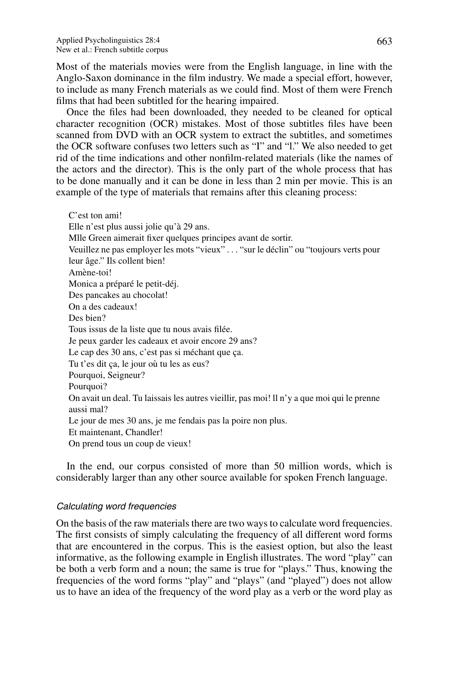Most of the materials movies were from the English language, in line with the Anglo-Saxon dominance in the film industry. We made a special effort, however, to include as many French materials as we could find. Most of them were French films that had been subtitled for the hearing impaired.

Once the files had been downloaded, they needed to be cleaned for optical character recognition (OCR) mistakes. Most of those subtitles files have been scanned from DVD with an OCR system to extract the subtitles, and sometimes the OCR software confuses two letters such as "I" and "l." We also needed to get rid of the time indications and other nonfilm-related materials (like the names of the actors and the director). This is the only part of the whole process that has to be done manually and it can be done in less than 2 min per movie. This is an example of the type of materials that remains after this cleaning process:

C'est ton ami! Elle n'est plus aussi jolie qu'à 29 ans. Mlle Green aimerait fixer quelques principes avant de sortir. Veuillez ne pas employer les mots "vieux" . . . "sur le déclin" ou "toujours verts pour leur âge." Ils collent bien! Amène-toi! Monica a préparé le petit-déj. Des pancakes au chocolat! On a des cadeaux! Des bien? Tous issus de la liste que tu nous avais filée. Je peux garder les cadeaux et avoir encore 29 ans? Le cap des 30 ans, c'est pas si méchant que ça. Tu t'es dit ca, le jour où tu les as eus? Pourquoi, Seigneur? Pourquoi? On avait un deal. Tu laissais les autres vieillir, pas moi! ll n'y a que moi qui le prenne aussi mal? Le jour de mes 30 ans, je me fendais pas la poire non plus. Et maintenant, Chandler! On prend tous un coup de vieux!

In the end, our corpus consisted of more than 50 million words, which is considerably larger than any other source available for spoken French language.

# Calculating word frequencies

On the basis of the raw materials there are two ways to calculate word frequencies. The first consists of simply calculating the frequency of all different word forms that are encountered in the corpus. This is the easiest option, but also the least informative, as the following example in English illustrates. The word "play" can be both a verb form and a noun; the same is true for "plays." Thus, knowing the frequencies of the word forms "play" and "plays" (and "played") does not allow us to have an idea of the frequency of the word play as a verb or the word play as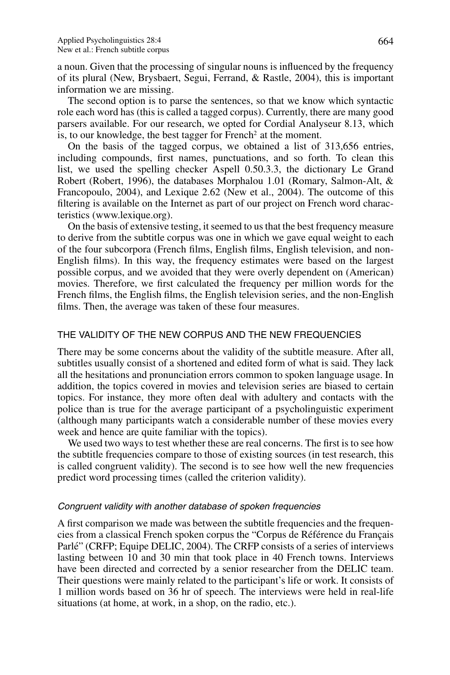a noun. Given that the processing of singular nouns is influenced by the frequency of its plural (New, Brysbaert, Segui, Ferrand, & Rastle, 2004), this is important information we are missing.

The second option is to parse the sentences, so that we know which syntactic role each word has (this is called a tagged corpus). Currently, there are many good parsers available. For our research, we opted for Cordial Analyseur 8.13, which is, to our knowledge, the best tagger for French<sup>2</sup> at the moment.

On the basis of the tagged corpus, we obtained a list of 313,656 entries, including compounds, first names, punctuations, and so forth. To clean this list, we used the spelling checker Aspell 0.50.3.3, the dictionary Le Grand Robert (Robert, 1996), the databases Morphalou 1.01 (Romary, Salmon-Alt, & Francopoulo, 2004), and Lexique 2.62 (New et al., 2004). The outcome of this filtering is available on the Internet as part of our project on French word characteristics (www.lexique.org).

On the basis of extensive testing, it seemed to us that the best frequency measure to derive from the subtitle corpus was one in which we gave equal weight to each of the four subcorpora (French films, English films, English television, and non-English films). In this way, the frequency estimates were based on the largest possible corpus, and we avoided that they were overly dependent on (American) movies. Therefore, we first calculated the frequency per million words for the French films, the English films, the English television series, and the non-English films. Then, the average was taken of these four measures.

## THE VALIDITY OF THE NEW CORPUS AND THE NEW FREQUENCIES

There may be some concerns about the validity of the subtitle measure. After all, subtitles usually consist of a shortened and edited form of what is said. They lack all the hesitations and pronunciation errors common to spoken language usage. In addition, the topics covered in movies and television series are biased to certain topics. For instance, they more often deal with adultery and contacts with the police than is true for the average participant of a psycholinguistic experiment (although many participants watch a considerable number of these movies every week and hence are quite familiar with the topics).

We used two ways to test whether these are real concerns. The first is to see how the subtitle frequencies compare to those of existing sources (in test research, this is called congruent validity). The second is to see how well the new frequencies predict word processing times (called the criterion validity).

### Congruent validity with another database of spoken frequencies

A first comparison we made was between the subtitle frequencies and the frequencies from a classical French spoken corpus the "Corpus de Référence du Français Parlé" (CRFP; Equipe DELIC, 2004). The CRFP consists of a series of interviews lasting between 10 and 30 min that took place in 40 French towns. Interviews have been directed and corrected by a senior researcher from the DELIC team. Their questions were mainly related to the participant's life or work. It consists of 1 million words based on 36 hr of speech. The interviews were held in real-life situations (at home, at work, in a shop, on the radio, etc.).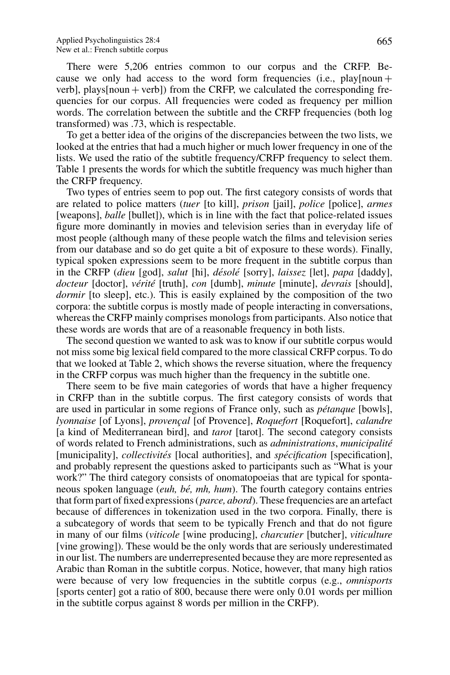There were 5,206 entries common to our corpus and the CRFP. Because we only had access to the word form frequencies (i.e., play[noun +  $vert$ , plays[noun + verb]) from the CRFP, we calculated the corresponding frequencies for our corpus. All frequencies were coded as frequency per million words. The correlation between the subtitle and the CRFP frequencies (both log transformed) was .73, which is respectable.

To get a better idea of the origins of the discrepancies between the two lists, we looked at the entries that had a much higher or much lower frequency in one of the lists. We used the ratio of the subtitle frequency/CRFP frequency to select them. Table 1 presents the words for which the subtitle frequency was much higher than the CRFP frequency.

Two types of entries seem to pop out. The first category consists of words that are related to police matters (*tuer* [to kill], *prison* [jail], *police* [police], *armes* [weapons], *balle* [bullet]), which is in line with the fact that police-related issues figure more dominantly in movies and television series than in everyday life of most people (although many of these people watch the films and television series from our database and so do get quite a bit of exposure to these words). Finally, typical spoken expressions seem to be more frequent in the subtitle corpus than in the CRFP (*dieu* [god], *salut* [hi], *désolé* [sorry], *laissez* [let], *papa* [daddy], *docteur* [doctor], *verit ´ e´* [truth], *con* [dumb], *minute* [minute], *devrais* [should], *dormir* [to sleep], etc.). This is easily explained by the composition of the two corpora: the subtitle corpus is mostly made of people interacting in conversations, whereas the CRFP mainly comprises monologs from participants. Also notice that these words are words that are of a reasonable frequency in both lists.

The second question we wanted to ask was to know if our subtitle corpus would not miss some big lexical field compared to the more classical CRFP corpus. To do that we looked at Table 2, which shows the reverse situation, where the frequency in the CRFP corpus was much higher than the frequency in the subtitle one.

There seem to be five main categories of words that have a higher frequency in CRFP than in the subtitle corpus. The first category consists of words that are used in particular in some regions of France only, such as *pétanque [bowls]*, *lyonnaise* [of Lyons], *provençal* [of Provence], *Roquefort* [Roquefort], *calandre* [a kind of Mediterranean bird], and *tarot* [tarot]. The second category consists of words related to French administrations, such as *administrations*, *municipalite´* [municipality], *collectivites´* [local authorities], and *specification ´* [specification], and probably represent the questions asked to participants such as "What is your work?" The third category consists of onomatopoeias that are typical for spontaneous spoken language *(euh, bé, mh, hum)*. The fourth category contains entries that form part of fixed expressions (*parce, abord*). These frequencies are an artefact because of differences in tokenization used in the two corpora. Finally, there is a subcategory of words that seem to be typically French and that do not figure in many of our films (*viticole* [wine producing], *charcutier* [butcher], *viticulture* [vine growing]). These would be the only words that are seriously underestimated in our list. The numbers are underrepresented because they are more represented as Arabic than Roman in the subtitle corpus. Notice, however, that many high ratios were because of very low frequencies in the subtitle corpus (e.g., *omnisports* [sports center] got a ratio of 800, because there were only 0.01 words per million in the subtitle corpus against 8 words per million in the CRFP).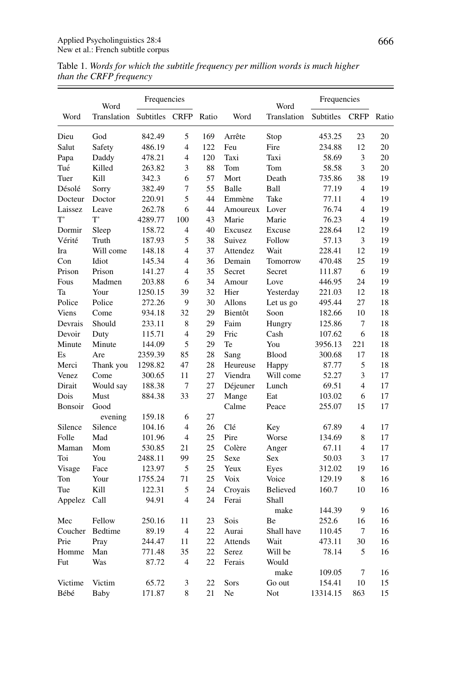|         | Word            | Frequencies       |                         |          |          | Word                | Frequencies |                         |       |
|---------|-----------------|-------------------|-------------------------|----------|----------|---------------------|-------------|-------------------------|-------|
| Word    | Translation     | Subtitles         | <b>CRFP</b>             | Ratio    | Word     | Translation         | Subtitles   | <b>CRFP</b>             | Ratio |
| Dieu    | God             | 842.49            | 5                       | 169      | Arrête   | Stop                | 453.25      | 23                      | 20    |
| Salut   | Safety          | 486.19            | $\overline{\mathbf{4}}$ | 122      | Feu      | Fire                | 234.88      | 12                      | 20    |
| Papa    | Daddy           | 478.21            | $\overline{4}$          | 120      | Taxi     | Taxi                | 58.69       | 3                       | 20    |
| Tué     | Killed          | 263.82            | 3                       | 88       | Tom      | Tom                 | 58.58       | 3                       | 20    |
| Tuer    | Kill            | 342.3             | 6                       | 57       | Mort     | Death               | 735.86      | 38                      | 19    |
| Désolé  | Sorry           | 382.49            | 7                       | 55       | Balle    | Ball                | 77.19       | $\overline{4}$          | 19    |
| Docteur | Doctor          | 220.91            | 5                       | 44       | Emmène   | Take                | 77.11       | $\overline{4}$          | 19    |
| Laissez | Leave           | 262.78            | 6                       | 44       | Amoureux | Lover               | 76.74       | $\overline{4}$          | 19    |
| T'      | T,              | 4289.77           | 100                     | 43       | Marie    | Marie               | 76.23       | $\overline{4}$          | 19    |
| Dormir  | Sleep           | 158.72            | $\overline{4}$          | 40       | Excusez  | Excuse              | 228.64      | 12                      | 19    |
| Vérité  | Truth           | 187.93            | 5                       | 38       | Suivez   | Follow              | 57.13       | 3                       | 19    |
| Ira     | Will come       | 148.18            | $\overline{4}$          | 37       | Attendez | Wait                | 228.41      | 12                      | 19    |
| Con     | Idiot           | 145.34            | $\overline{4}$          | 36       | Demain   | Tomorrow            | 470.48      | 25                      | 19    |
| Prison  | Prison          | 141.27            | $\overline{4}$          | 35       | Secret   | Secret              | 111.87      | 6                       | 19    |
| Fous    | Madmen          | 203.88            | 6                       | 34       | Amour    | Love                | 446.95      | 24                      | 19    |
| Ta      | Your            | 1250.15           | 39                      | 32       | Hier     | Yesterday           | 221.03      | 12                      | 18    |
| Police  | Police          | 272.26            | 9                       | 30       | Allons   | Let us go           | 495.44      | 27                      | 18    |
| Viens   | Come            | 934.18            | 32                      | 29       | Bientôt  | Soon                | 182.66      | 10                      | 18    |
| Devrais | Should          | 233.11            | 8                       | 29       | Faim     | Hungry              | 125.86      | 7                       | 18    |
| Devoir  | Duty            | 115.71            | $\overline{4}$          | 29       | Fric     | Cash                | 107.62      | 6                       | 18    |
| Minute  | Minute          | 144.09            | 5                       | 29       | Te       | You                 | 3956.13     | 221                     | 18    |
| Es      | Are             | 2359.39           | 85                      | 28       | Sang     | <b>Blood</b>        | 300.68      | 17                      | 18    |
| Merci   | Thank you       | 1298.82           | 47                      | 28       | Heureuse | Happy               | 87.77       | 5                       | 18    |
| Venez   | Come            | 300.65            | 11                      | 27       | Viendra  | Will come           | 52.27       | 3                       | 17    |
| Dirait  | Would say       | 188.38            | $\overline{7}$          | 27       | Déjeuner | Lunch               | 69.51       | $\overline{\mathbf{4}}$ | 17    |
| Dois    | Must            | 884.38            | 33                      | 27       | Mange    | Eat                 | 103.02      | 6                       | 17    |
|         |                 |                   |                         |          | Calme    | Peace               |             | 15                      |       |
| Bonsoir | Good<br>evening | 159.18            | 6                       | 27       |          |                     | 255.07      |                         | 17    |
| Silence | Silence         | 104.16            | $\overline{4}$          | 26       | Clé      |                     | 67.89       | $\overline{4}$          | 17    |
| Folle   | Mad             |                   | $\overline{4}$          |          | Pire     | Key<br>Worse        |             | 8                       | 17    |
| Maman   | Mom             | 101.96            | 21                      | 25<br>25 | Colère   |                     | 134.69      | $\overline{4}$          | 17    |
| Toi     | You             | 530.85<br>2488.11 | 99                      | 25       | Sexe     | Anger<br><b>Sex</b> | 67.11       | 3                       | 17    |
|         |                 |                   | 5                       | 25       |          |                     | 50.03       | 19                      |       |
| Visage  | Face            | 123.97            |                         |          | Yeux     | Eyes                | 312.02      |                         | 16    |
| Ton     | Your            | 1755.24           | 71                      | 25       | Voix     | Voice               | 129.19      | 8                       | 16    |
| Tue     | Kill            | 122.31            | 5                       | 24       | Croyais  | Believed            | 160.7       | 10                      | 16    |
| Appelez | Call            | 94.91             | $\overline{4}$          | 24       | Ferai    | Shall<br>make       | 144.39      | 9                       | 16    |
| Mec     | Fellow          | 250.16            | 11                      | 23       | Sois     | Be                  | 252.6       | 16                      | 16    |
| Coucher | Bedtime         | 89.19             | $\overline{4}$          | 22       | Aurai    | Shall have          | 110.45      | 7                       | 16    |
| Prie    | Pray            | 244.47            | 11                      | 22       | Attends  | Wait                | 473.11      | 30                      | 16    |
| Homme   | Man             | 771.48            | 35                      | 22       | Serez    | Will be             | 78.14       | 5                       | 16    |
| Fut     | Was             | 87.72             | $\overline{4}$          | 22       | Ferais   | Would               |             |                         |       |
|         |                 |                   |                         |          |          | make                | 109.05      | 7                       | 16    |
| Victime | Victim          | 65.72             | 3                       | 22       | Sors     | Go out              | 154.41      | 10                      | 15    |
| Bébé    | Baby            | 171.87            | 8                       | 21       | Ne       | Not                 | 13314.15    | 863                     | 15    |

Table 1. Words for which the subtitle frequency per million words is much higher than the CRFP frequency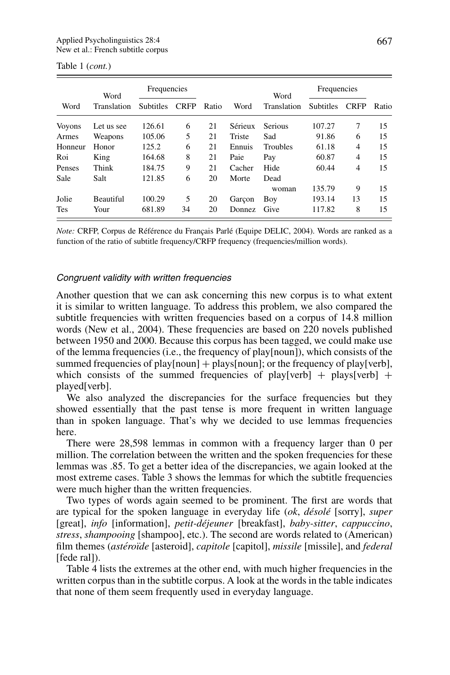|               | Word             | Frequencies      |             |       |         | Word            | Frequencies      |             |       |
|---------------|------------------|------------------|-------------|-------|---------|-----------------|------------------|-------------|-------|
| Word          | Translation      | <b>Subtitles</b> | <b>CRFP</b> | Ratio | Word    | Translation     | <b>Subtitles</b> | <b>CRFP</b> | Ratio |
| <b>Voyons</b> | Let us see       | 126.61           | 6           | 21    | Sérieux | <b>Serious</b>  | 107.27           | 7           | 15    |
| Armes         | Weapons          | 105.06           | 5           | 21    | Triste  | Sad             | 91.86            | 6           | 15    |
| Honneur       | Honor            | 125.2            | 6           | 21    | Ennuis  | <b>Troubles</b> | 61.18            | 4           | 15    |
| Roi           | King             | 164.68           | 8           | 21    | Paie    | Pay             | 60.87            | 4           | 15    |
| Penses        | Think            | 184.75           | 9           | 21    | Cacher  | Hide            | 60.44            | 4           | 15    |
| Sale          | Salt             | 121.85           | 6           | 20    | Morte   | Dead            |                  |             |       |
|               |                  |                  |             |       |         | woman           | 135.79           | 9           | 15    |
| Jolie         | <b>Beautiful</b> | 100.29           | 5           | 20    | Garcon  | Boy             | 193.14           | 13          | 15    |
| <b>Tes</b>    | Your             | 681.89           | 34          | 20    | Donnez  | Give            | 117.82           | 8           | 15    |

|  |  | Table 1 ( <i>cont.</i> ) |
|--|--|--------------------------|
|--|--|--------------------------|

*Note:* CRFP, Corpus de Référence du Francais Parlé (Equipe DELIC, 2004). Words are ranked as a function of the ratio of subtitle frequency/CRFP frequency (frequencies/million words).

#### Congruent validity with written frequencies

Another question that we can ask concerning this new corpus is to what extent it is similar to written language. To address this problem, we also compared the subtitle frequencies with written frequencies based on a corpus of 14.8 million words (New et al., 2004). These frequencies are based on 220 novels published between 1950 and 2000. Because this corpus has been tagged, we could make use of the lemma frequencies (i.e., the frequency of play[noun]), which consists of the summed frequencies of play[noun] + plays[noun]; or the frequency of play[verb], which consists of the summed frequencies of play[verb] + plays[verb] + played[verb].

We also analyzed the discrepancies for the surface frequencies but they showed essentially that the past tense is more frequent in written language than in spoken language. That's why we decided to use lemmas frequencies here.

There were 28,598 lemmas in common with a frequency larger than 0 per million. The correlation between the written and the spoken frequencies for these lemmas was .85. To get a better idea of the discrepancies, we again looked at the most extreme cases. Table 3 shows the lemmas for which the subtitle frequencies were much higher than the written frequencies.

Two types of words again seemed to be prominent. The first are words that are typical for the spoken language in everyday life (*ok, désolé* [sorry], *super* [great], *info* [information], *petit-dejeuner ´* [breakfast], *baby-sitter*, *cappuccino*, *stress*, *shampooing* [shampoo], etc.). The second are words related to (American) film themes (*astéroïde* [asteroid], *capitole* [capitol], *missile* [missile], and *federal* [fede ral]).

Table 4 lists the extremes at the other end, with much higher frequencies in the written corpus than in the subtitle corpus. A look at the words in the table indicates that none of them seem frequently used in everyday language.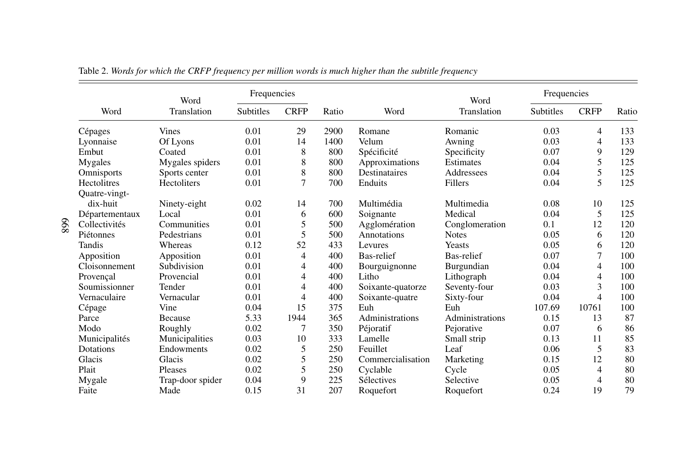|                    | Word             | Frequencies      |                |       |                   | Word            | Frequencies      |             |       |
|--------------------|------------------|------------------|----------------|-------|-------------------|-----------------|------------------|-------------|-------|
| Word               | Translation      | <b>Subtitles</b> | <b>CRFP</b>    | Ratio | Word              | Translation     | <b>Subtitles</b> | <b>CRFP</b> | Ratio |
| Cépages            | <b>Vines</b>     | 0.01             | 29             | 2900  | Romane            | Romanic         | 0.03             | 4           | 133   |
| Lyonnaise          | Of Lyons         | 0.01             | 14             | 1400  | Velum             | Awning          | 0.03             | 4           | 133   |
| Embut              | Coated           | 0.01             | 8              | 800   | Spécificité       | Specificity     | 0.07             | 9           | 129   |
| Mygales            | Mygales spiders  | 0.01             | 8              | 800   | Approximations    | Estimates       | 0.04             | 5           | 125   |
| Omnisports         | Sports center    | 0.01             | 8              | 800   | Destinataires     | Addressees      | 0.04             | 5           | 125   |
| <b>Hectolitres</b> | Hectoliters      | 0.01             | $\overline{7}$ | 700   | Enduits           | Fillers         | 0.04             | 5           | 125   |
| Ouatre-vingt-      |                  |                  |                |       |                   |                 |                  |             |       |
| dix-huit           | Ninety-eight     | 0.02             | 14             | 700   | Multimédia        | Multimedia      | 0.08             | 10          | 125   |
| Départementaux     | Local            | 0.01             | 6              | 600   | Soignante         | Medical         | 0.04             | 5           | 125   |
| Collectivités      | Communities      | 0.01             | 5              | 500   | Agglomération     | Conglomeration  | 0.1              | 12          | 120   |
| Piétonnes          | Pedestrians      | 0.01             | 5              | 500   | Annotations       | <b>Notes</b>    | 0.05             | 6           | 120   |
| Tandis             | Whereas          | 0.12             | 52             | 433   | Levures           | Yeasts          | 0.05             | 6           | 120   |
| Apposition         | Apposition       | 0.01             | 4              | 400   | Bas-relief        | Bas-relief      | 0.07             | 7           | 100   |
| Cloisonnement      | Subdivision      | 0.01             | 4              | 400   | Bourguignonne     | Burgundian      | 0.04             | 4           | 100   |
| Provençal          | Provencial       | 0.01             | 4              | 400   | Litho             | Lithograph      | 0.04             | 4           | 100   |
| Soumissionner      | Tender           | 0.01             | 4              | 400   | Soixante-quatorze | Seventy-four    | 0.03             | 3           | 100   |
| Vernaculaire       | Vernacular       | 0.01             | 4              | 400   | Soixante-quatre   | Sixty-four      | 0.04             | 4           | 100   |
| Cépage             | Vine             | 0.04             | 15             | 375   | Euh               | Euh             | 107.69           | 10761       | 100   |
| Parce              | <b>Because</b>   | 5.33             | 1944           | 365   | Administrations   | Administrations | 0.15             | 13          | 87    |
| Modo               | Roughly          | 0.02             | 7              | 350   | Péjoratif         | Pejorative      | 0.07             | 6           | 86    |
| Municipalités      | Municipalities   | 0.03             | 10             | 333   | Lamelle           | Small strip     | 0.13             | 11          | 85    |
| Dotations          | Endowments       | 0.02             | 5              | 250   | Feuillet          | Leaf            | 0.06             | 5           | 83    |
| Glacis             | Glacis           | 0.02             | 5              | 250   | Commercialisation | Marketing       | 0.15             | 12          | 80    |
| Plait              | Pleases          | 0.02             | 5              | 250   | Cyclable          | Cycle           | 0.05             | 4           | 80    |
| Mygale             | Trap-door spider | 0.04             | 9              | 225   | Sélectives        | Selective       | 0.05             | 4           | 80    |
| Faite              | Made             | 0.15             | 31             | 207   | Roquefort         | Roquefort       | 0.24             | 19          | 79    |

Table 2. Words for which the CRFP frequency per million words is much higher than the subtitle frequency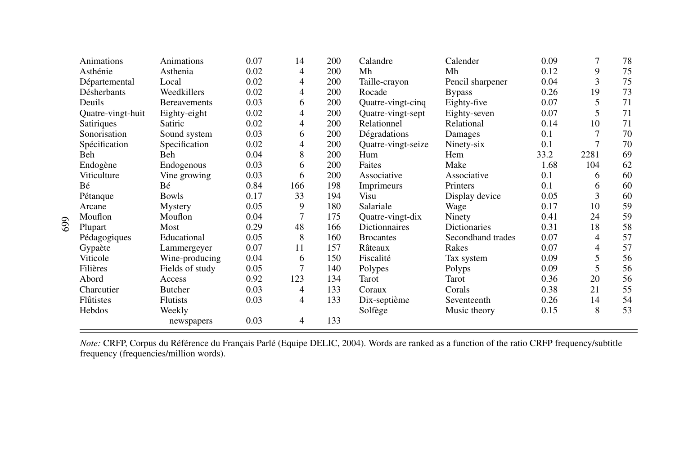| Animations        | Animations          | 0.07 | 14  | 200 | Calandre           | Calender          | 0.09 | 7    | 78 |
|-------------------|---------------------|------|-----|-----|--------------------|-------------------|------|------|----|
| Asthénie          | Asthenia            | 0.02 | 4   | 200 | Mh                 | Mh                | 0.12 | 9    | 75 |
| Départemental     | Local               | 0.02 | 4   | 200 | Taille-crayon      | Pencil sharpener  | 0.04 | 3    | 75 |
| Désherbants       | Weedkillers         | 0.02 | 4   | 200 | Rocade             | <b>Bypass</b>     | 0.26 | 19   | 73 |
| Deuils            | <b>Bereavements</b> | 0.03 | 6   | 200 | Quatre-vingt-cinq  | Eighty-five       | 0.07 | 5    | 71 |
| Quatre-vingt-huit | Eighty-eight        | 0.02 | 4   | 200 | Quatre-vingt-sept  | Eighty-seven      | 0.07 | 5    | 71 |
| Satiriques        | Satiric             | 0.02 | 4   | 200 | Relationnel        | Relational        | 0.14 | 10   | 71 |
| Sonorisation      | Sound system        | 0.03 | 6   | 200 | Dégradations       | Damages           | 0.1  |      | 70 |
| Spécification     | Specification       | 0.02 | 4   | 200 | Quatre-vingt-seize | Ninety-six        | 0.1  | 7    | 70 |
| Beh               | Beh                 | 0.04 | 8   | 200 | Hum                | Hem               | 33.2 | 2281 | 69 |
| Endogène          | Endogenous          | 0.03 | 6   | 200 | Faites             | Make              | 1.68 | 104  | 62 |
| Viticulture       | Vine growing        | 0.03 | 6   | 200 | Associative        | Associative       | 0.1  | 6    | 60 |
| Bé                | Bé                  | 0.84 | 166 | 198 | Imprimeurs         | Printers          | 0.1  | 6    | 60 |
| Pétanque          | <b>Bowls</b>        | 0.17 | 33  | 194 | Visu               | Display device    | 0.05 | 3    | 60 |
| Arcane            | Mystery             | 0.05 | 9   | 180 | Salariale          | Wage              | 0.17 | 10   | 59 |
| Mouflon           | Mouflon             | 0.04 | 7   | 175 | Quatre-vingt-dix   | Ninety            | 0.41 | 24   | 59 |
| Plupart           | Most                | 0.29 | 48  | 166 | Dictionnaires      | Dictionaries      | 0.31 | 18   | 58 |
| Pédagogiques      | Educational         | 0.05 | 8   | 160 | <b>Brocantes</b>   | Secondhand trades | 0.07 | 4    | 57 |
| Gypaète           | Lammergeyer         | 0.07 | 11  | 157 | Râteaux            | Rakes             | 0.07 | 4    | 57 |
| Viticole          | Wine-producing      | 0.04 | 6   | 150 | Fiscalité          | Tax system        | 0.09 | 5    | 56 |
| Filières          | Fields of study     | 0.05 | 7   | 140 | Polypes            | Polyps            | 0.09 | 5    | 56 |
| Abord             | Access              | 0.92 | 123 | 134 | Tarot              | Tarot             | 0.36 | 20   | 56 |
| Charcutier        | <b>Butcher</b>      | 0.03 | 4   | 133 | Coraux             | Corals            | 0.38 | 21   | 55 |
| Flûtistes         | <b>Flutists</b>     | 0.03 | 4   | 133 | Dix-septième       | Seventeenth       | 0.26 | 14   | 54 |
| Hebdos            | Weekly              |      |     |     | Solfège            | Music theory      | 0.15 | 8    | 53 |
|                   | newspapers          | 0.03 | 4   | 133 |                    |                   |      |      |    |

*Note:* CRFP, Corpus du Référence du Français Parlé (Equipe DELIC, 2004). Words are ranked as a function of the ratio CRFP frequency/subtitle frequency (frequencies/million words).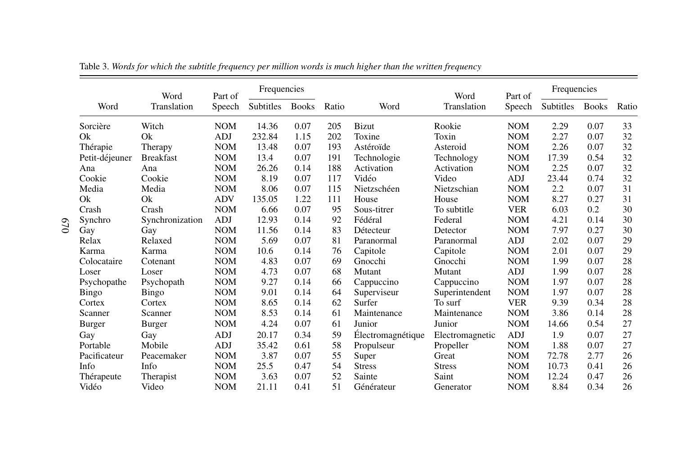|                | Word             | Part of    | Frequencies |              |       |                   | Word            | Part of    | Frequencies |              |       |
|----------------|------------------|------------|-------------|--------------|-------|-------------------|-----------------|------------|-------------|--------------|-------|
| Word           | Translation      | Speech     | Subtitles   | <b>Books</b> | Ratio | Word              | Translation     | Speech     | Subtitles   | <b>Books</b> | Ratio |
| Sorcière       | Witch            | <b>NOM</b> | 14.36       | 0.07         | 205   | <b>Bizut</b>      | Rookie          | <b>NOM</b> | 2.29        | 0.07         | 33    |
| Ok             | Ok               | <b>ADJ</b> | 232.84      | 1.15         | 202   | Toxine            | Toxin           | <b>NOM</b> | 2.27        | 0.07         | 32    |
| Thérapie       | Therapy          | <b>NOM</b> | 13.48       | 0.07         | 193   | Astéroïde         | Asteroid        | <b>NOM</b> | 2.26        | 0.07         | 32    |
| Petit-déjeuner | <b>Breakfast</b> | <b>NOM</b> | 13.4        | 0.07         | 191   | Technologie       | Technology      | <b>NOM</b> | 17.39       | 0.54         | 32    |
| Ana            | Ana              | <b>NOM</b> | 26.26       | 0.14         | 188   | Activation        | Activation      | <b>NOM</b> | 2.25        | 0.07         | 32    |
| Cookie         | Cookie           | <b>NOM</b> | 8.19        | 0.07         | 117   | Vidéo             | Video           | <b>ADJ</b> | 23.44       | 0.74         | 32    |
| Media          | Media            | <b>NOM</b> | 8.06        | 0.07         | 115   | Nietzschéen       | Nietzschian     | <b>NOM</b> | 2.2         | 0.07         | 31    |
| Qk             | Ok               | <b>ADV</b> | 135.05      | 1.22         | 111   | House             | House           | <b>NOM</b> | 8.27        | 0.27         | 31    |
| Crash          | Crash            | <b>NOM</b> | 6.66        | 0.07         | 95    | Sous-titrer       | To subtitle     | <b>VER</b> | 6.03        | 0.2          | 30    |
| Synchro        | Synchronization  | <b>ADJ</b> | 12.93       | 0.14         | 92    | Fédéral           | Federal         | <b>NOM</b> | 4.21        | 0.14         | 30    |
| Gay            | Gay              | <b>NOM</b> | 11.56       | 0.14         | 83    | Détecteur         | Detector        | <b>NOM</b> | 7.97        | 0.27         | 30    |
| Relax          | Relaxed          | <b>NOM</b> | 5.69        | 0.07         | 81    | Paranormal        | Paranormal      | <b>ADJ</b> | 2.02        | 0.07         | 29    |
| Karma          | Karma            | <b>NOM</b> | 10.6        | 0.14         | 76    | Capitole          | Capitole        | <b>NOM</b> | 2.01        | 0.07         | 29    |
| Colocataire    | Cotenant         | <b>NOM</b> | 4.83        | 0.07         | 69    | Gnocchi           | Gnocchi         | <b>NOM</b> | 1.99        | 0.07         | 28    |
| Loser          | Loser            | <b>NOM</b> | 4.73        | 0.07         | 68    | Mutant            | Mutant          | <b>ADJ</b> | 1.99        | 0.07         | 28    |
| Psychopathe    | Psychopath       | <b>NOM</b> | 9.27        | 0.14         | 66    | Cappuccino        | Cappuccino      | <b>NOM</b> | 1.97        | 0.07         | 28    |
| <b>Bingo</b>   | Bingo            | <b>NOM</b> | 9.01        | 0.14         | 64    | Superviseur       | Superintendent  | <b>NOM</b> | 1.97        | 0.07         | 28    |
| Cortex         | Cortex           | <b>NOM</b> | 8.65        | 0.14         | 62    | Surfer            | To surf         | <b>VER</b> | 9.39        | 0.34         | 28    |
| Scanner        | Scanner          | <b>NOM</b> | 8.53        | 0.14         | 61    | Maintenance       | Maintenance     | <b>NOM</b> | 3.86        | 0.14         | 28    |
| Burger         | Burger           | <b>NOM</b> | 4.24        | 0.07         | 61    | Junior            | Junior          | <b>NOM</b> | 14.66       | 0.54         | 27    |
| Gay            | Gay              | <b>ADJ</b> | 20.17       | 0.34         | 59    | Électromagnétique | Electromagnetic | <b>ADJ</b> | 1.9         | 0.07         | 27    |
| Portable       | Mobile           | <b>ADJ</b> | 35.42       | 0.61         | 58    | Propulseur        | Propeller       | <b>NOM</b> | 1.88        | 0.07         | 27    |
| Pacificateur   | Peacemaker       | <b>NOM</b> | 3.87        | 0.07         | 55    | Super             | Great           | <b>NOM</b> | 72.78       | 2.77         | 26    |
| Info           | Info             | <b>NOM</b> | 25.5        | 0.47         | 54    | <b>Stress</b>     | <b>Stress</b>   | <b>NOM</b> | 10.73       | 0.41         | 26    |
| Thérapeute     | Therapist        | <b>NOM</b> | 3.63        | 0.07         | 52    | Sainte            | Saint           | <b>NOM</b> | 12.24       | 0.47         | 26    |
| Vidéo          | Video            | <b>NOM</b> | 21.11       | 0.41         | 51    | Générateur        | Generator       | <b>NOM</b> | 8.84        | 0.34         | 26    |

Table 3. Words for which the subtitle frequency per million words is much higher than the written frequency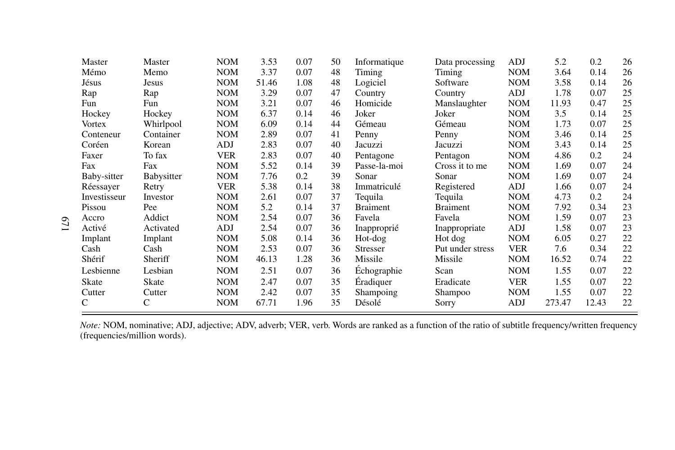| Master        | Master     | <b>NOM</b> | 3.53  | 0.07 | 50 | Informatique    | Data processing  | ADJ        | 5.2    | 0.2   | 26 |
|---------------|------------|------------|-------|------|----|-----------------|------------------|------------|--------|-------|----|
| Mémo          | Memo       | <b>NOM</b> | 3.37  | 0.07 | 48 | Timing          | Timing           | <b>NOM</b> | 3.64   | 0.14  | 26 |
| Jésus         | Jesus      | <b>NOM</b> | 51.46 | 1.08 | 48 | Logiciel        | Software         | <b>NOM</b> | 3.58   | 0.14  | 26 |
| Rap           | Rap        | <b>NOM</b> | 3.29  | 0.07 | 47 | Country         | Country          | ADJ        | 1.78   | 0.07  | 25 |
| Fun           | Fun        | <b>NOM</b> | 3.21  | 0.07 | 46 | Homicide        | Manslaughter     | <b>NOM</b> | 11.93  | 0.47  | 25 |
| Hockey        | Hockey     | <b>NOM</b> | 6.37  | 0.14 | 46 | Joker           | Joker            | <b>NOM</b> | 3.5    | 0.14  | 25 |
| <b>Vortex</b> | Whirlpool  | <b>NOM</b> | 6.09  | 0.14 | 44 | Gémeau          | Gémeau           | <b>NOM</b> | 1.73   | 0.07  | 25 |
| Conteneur     | Container  | <b>NOM</b> | 2.89  | 0.07 | 41 | Penny           | Penny            | <b>NOM</b> | 3.46   | 0.14  | 25 |
| Coréen        | Korean     | ADJ        | 2.83  | 0.07 | 40 | Jacuzzi         | Jacuzzi          | <b>NOM</b> | 3.43   | 0.14  | 25 |
| Faxer         | To fax     | <b>VER</b> | 2.83  | 0.07 | 40 | Pentagone       | Pentagon         | <b>NOM</b> | 4.86   | 0.2   | 24 |
| Fax           | Fax        | <b>NOM</b> | 5.52  | 0.14 | 39 | Passe-la-moi    | Cross it to me   | <b>NOM</b> | 1.69   | 0.07  | 24 |
| Baby-sitter   | Babysitter | <b>NOM</b> | 7.76  | 0.2  | 39 | Sonar           | Sonar            | <b>NOM</b> | 1.69   | 0.07  | 24 |
| Réessayer     | Retry      | <b>VER</b> | 5.38  | 0.14 | 38 | Immatriculé     | Registered       | ADJ        | 1.66   | 0.07  | 24 |
| Investisseur  | Investor   | <b>NOM</b> | 2.61  | 0.07 | 37 | Tequila         | Tequila          | <b>NOM</b> | 4.73   | 0.2   | 24 |
| Pissou        | Pee        | <b>NOM</b> | 5.2   | 0.14 | 37 | <b>Braiment</b> | <b>Braiment</b>  | <b>NOM</b> | 7.92   | 0.34  | 23 |
| Accro         | Addict     | <b>NOM</b> | 2.54  | 0.07 | 36 | Favela          | Favela           | <b>NOM</b> | 1.59   | 0.07  | 23 |
| Activé        | Activated  | ADJ        | 2.54  | 0.07 | 36 | Inapproprié     | Inappropriate    | ADJ        | 1.58   | 0.07  | 23 |
| Implant       | Implant    | <b>NOM</b> | 5.08  | 0.14 | 36 | Hot-dog         | Hot dog          | <b>NOM</b> | 6.05   | 0.27  | 22 |
| Cash          | Cash       | <b>NOM</b> | 2.53  | 0.07 | 36 | Stresser        | Put under stress | <b>VER</b> | 7.6    | 0.34  | 22 |
| Shérif        | Sheriff    | <b>NOM</b> | 46.13 | 1.28 | 36 | Missile         | Missile          | <b>NOM</b> | 16.52  | 0.74  | 22 |
| Lesbienne     | Lesbian    | <b>NOM</b> | 2.51  | 0.07 | 36 | Echographie     | Scan             | <b>NOM</b> | 1.55   | 0.07  | 22 |
| Skate         | Skate      | <b>NOM</b> | 2.47  | 0.07 | 35 | Eradiquer       | Eradicate        | <b>VER</b> | 1.55   | 0.07  | 22 |
| Cutter        | Cutter     | <b>NOM</b> | 2.42  | 0.07 | 35 | Shampoing       | Shampoo          | <b>NOM</b> | 1.55   | 0.07  | 22 |
| $\mathcal{C}$ | C          | <b>NOM</b> | 67.71 | 1.96 | 35 | Désolé          | Sorry            | ADJ        | 273.47 | 12.43 | 22 |

*Note:* NOM, nominative; ADJ, adjective; ADV, adverb; VER, verb. Words are ranked as <sup>a</sup> function of the ratio of subtitle frequency/written frequency (frequencies/million words).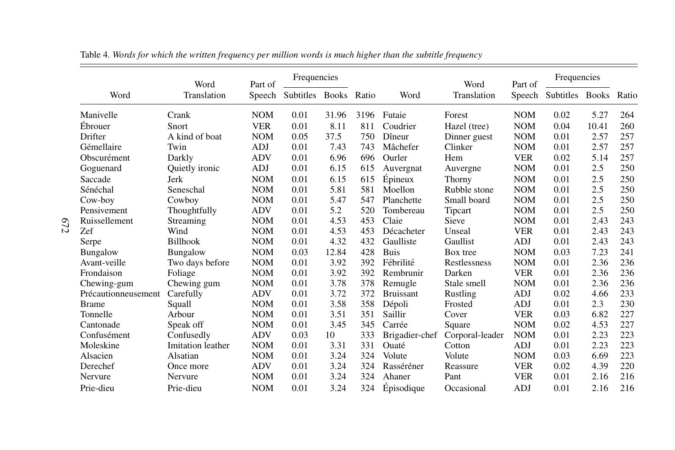|                     | Word              | Part of    | Frequencies            |       |       |                  | Word            | Part of    | Frequencies            |       |       |
|---------------------|-------------------|------------|------------------------|-------|-------|------------------|-----------------|------------|------------------------|-------|-------|
| Word                | Translation       |            | Speech Subtitles Books |       | Ratio | Word             | Translation     |            | Speech Subtitles Books |       | Ratio |
| Manivelle           | Crank             | <b>NOM</b> | 0.01                   | 31.96 | 3196  | Futaie           | Forest          | <b>NOM</b> | 0.02                   | 5.27  | 264   |
| Ebrouer             | Snort             | <b>VER</b> | 0.01                   | 8.11  | 811   | Coudrier         | Hazel (tree)    | <b>NOM</b> | 0.04                   | 10.41 | 260   |
| Drifter             | A kind of boat    | <b>NOM</b> | 0.05                   | 37.5  | 750   | Dîneur           | Dinner guest    | <b>NOM</b> | 0.01                   | 2.57  | 257   |
| Gémellaire          | Twin              | <b>ADJ</b> | 0.01                   | 7.43  | 743   | Mâchefer         | Clinker         | <b>NOM</b> | 0.01                   | 2.57  | 257   |
| Obscurément         | Darkly            | <b>ADV</b> | 0.01                   | 6.96  | 696   | Ourler           | Hem             | <b>VER</b> | 0.02                   | 5.14  | 257   |
| Goguenard           | Quietly ironic    | <b>ADJ</b> | 0.01                   | 6.15  | 615   | Auvergnat        | Auvergne        | <b>NOM</b> | 0.01                   | 2.5   | 250   |
| Saccade             | Jerk              | <b>NOM</b> | 0.01                   | 6.15  | 615   | Épineux          | Thorny          | <b>NOM</b> | 0.01                   | 2.5   | 250   |
| Sénéchal            | Seneschal         | <b>NOM</b> | 0.01                   | 5.81  | 581   | Moellon          | Rubble stone    | <b>NOM</b> | 0.01                   | 2.5   | 250   |
| Cow-boy             | Cowboy            | <b>NOM</b> | 0.01                   | 5.47  | 547   | Planchette       | Small board     | <b>NOM</b> | 0.01                   | 2.5   | 250   |
| Pensivement         | Thoughtfully      | <b>ADV</b> | 0.01                   | 5.2   | 520   | Tombereau        | Tipcart         | <b>NOM</b> | 0.01                   | 2.5   | 250   |
| Ruissellement       | Streaming         | <b>NOM</b> | 0.01                   | 4.53  | 453   | Claie            | Sieve           | <b>NOM</b> | 0.01                   | 2.43  | 243   |
| Zef                 | Wind              | <b>NOM</b> | 0.01                   | 4.53  | 453   | Décacheter       | Unseal          | <b>VER</b> | 0.01                   | 2.43  | 243   |
| Serpe               | Billhook          | <b>NOM</b> | 0.01                   | 4.32  | 432   | Gaulliste        | Gaullist        | ADJ        | 0.01                   | 2.43  | 243   |
| <b>Bungalow</b>     | <b>Bungalow</b>   | <b>NOM</b> | 0.03                   | 12.84 | 428   | <b>Buis</b>      | Box tree        | <b>NOM</b> | 0.03                   | 7.23  | 241   |
| Avant-veille        | Two days before   | <b>NOM</b> | 0.01                   | 3.92  | 392   | Fébrilité        | Restlessness    | <b>NOM</b> | 0.01                   | 2.36  | 236   |
| Frondaison          | Foliage           | <b>NOM</b> | 0.01                   | 3.92  | 392   | Rembrunir        | Darken          | <b>VER</b> | 0.01                   | 2.36  | 236   |
| Chewing-gum         | Chewing gum       | <b>NOM</b> | 0.01                   | 3.78  | 378   | Remugle          | Stale smell     | <b>NOM</b> | 0.01                   | 2.36  | 236   |
| Précautionneusement | Carefully         | <b>ADV</b> | 0.01                   | 3.72  | 372   | <b>Bruissant</b> | Rustling        | ADJ        | 0.02                   | 4.66  | 233   |
| <b>Brame</b>        | Squall            | <b>NOM</b> | 0.01                   | 3.58  | 358   | Dépoli           | Frosted         | <b>ADJ</b> | 0.01                   | 2.3   | 230   |
| Tonnelle            | Arbour            | <b>NOM</b> | 0.01                   | 3.51  | 351   | Saillir          | Cover           | <b>VER</b> | 0.03                   | 6.82  | 227   |
| Cantonade           | Speak off         | <b>NOM</b> | 0.01                   | 3.45  | 345   | Carrée           | Square          | <b>NOM</b> | 0.02                   | 4.53  | 227   |
| Confusément         | Confusedly        | <b>ADV</b> | 0.03                   | 10    | 333   | Brigadier-chef   | Corporal-leader | <b>NOM</b> | 0.01                   | 2.23  | 223   |
| Moleskine           | Imitation leather | <b>NOM</b> | 0.01                   | 3.31  | 331   | Ouaté            | Cotton          | ADJ        | 0.01                   | 2.23  | 223   |
| Alsacien            | Alsatian          | <b>NOM</b> | 0.01                   | 3.24  | 324   | Volute           | Volute          | <b>NOM</b> | 0.03                   | 6.69  | 223   |
| Derechef            | Once more         | <b>ADV</b> | 0.01                   | 3.24  | 324   | Rasséréner       | Reassure        | <b>VER</b> | 0.02                   | 4.39  | 220   |
| Nervure             | Nervure           | <b>NOM</b> | 0.01                   | 3.24  | 324   | Ahaner           | Pant            | <b>VER</b> | 0.01                   | 2.16  | 216   |
| Prie-dieu           | Prie-dieu         | <b>NOM</b> | 0.01                   | 3.24  | 324   | Épisodique       | Occasional      | <b>ADJ</b> | 0.01                   | 2.16  | 216   |

Table 4. Words for which the written frequency per million words is much higher than the subtitle frequency

 $672$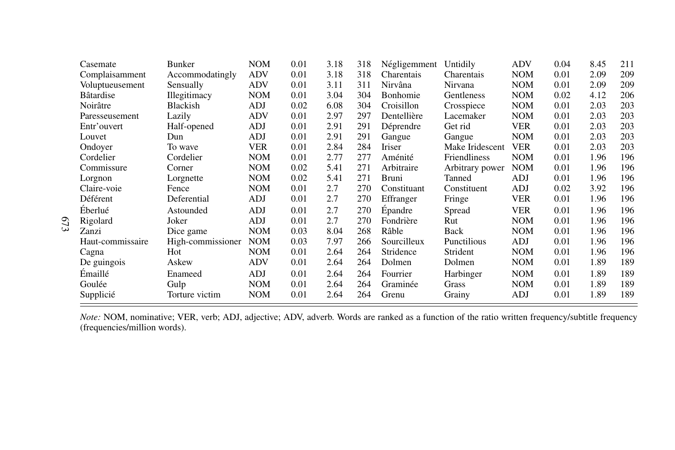| Casemate          | Bunker            | <b>NOM</b> | 0.01 | 3.18 | 318 | Négligemment | Untidily            | <b>ADV</b> | 0.04 | 8.45 | 211 |
|-------------------|-------------------|------------|------|------|-----|--------------|---------------------|------------|------|------|-----|
| Complaisamment    | Accommodatingly   | <b>ADV</b> | 0.01 | 3.18 | 318 | Charentais   | Charentais          | <b>NOM</b> | 0.01 | 2.09 | 209 |
| Voluptueusement   | Sensually         | <b>ADV</b> | 0.01 | 3.11 | 311 | Nirvâna      | Nirvana             | <b>NOM</b> | 0.01 | 2.09 | 209 |
| <b>B</b> âtardise | Illegitimacy      | <b>NOM</b> | 0.01 | 3.04 | 304 | Bonhomie     | Gentleness          | <b>NOM</b> | 0.02 | 4.12 | 206 |
| Noirâtre          | Blackish          | ADJ        | 0.02 | 6.08 | 304 | Croisillon   | Crosspiece          | <b>NOM</b> | 0.01 | 2.03 | 203 |
| Paresseusement    | Lazily            | <b>ADV</b> | 0.01 | 2.97 | 297 | Dentellière  | Lacemaker           | <b>NOM</b> | 0.01 | 2.03 | 203 |
| Entr'ouvert       | Half-opened       | <b>ADJ</b> | 0.01 | 2.91 | 291 | Déprendre    | Get rid             | <b>VER</b> | 0.01 | 2.03 | 203 |
| Louvet            | Dun               | ADJ        | 0.01 | 2.91 | 291 | Gangue       | Gangue              | <b>NOM</b> | 0.01 | 2.03 | 203 |
| Ondover           | To wave           | <b>VER</b> | 0.01 | 2.84 | 284 | Iriser       | Make Iridescent     | <b>VER</b> | 0.01 | 2.03 | 203 |
| Cordelier         | Cordelier         | <b>NOM</b> | 0.01 | 2.77 | 277 | Aménité      | <b>Friendliness</b> | <b>NOM</b> | 0.01 | 1.96 | 196 |
| Commissure        | Corner            | <b>NOM</b> | 0.02 | 5.41 | 271 | Arbitraire   | Arbitrary power     | <b>NOM</b> | 0.01 | 1.96 | 196 |
| Lorgnon           | Lorgnette         | <b>NOM</b> | 0.02 | 5.41 | 271 | Bruni        | Tanned              | ADJ        | 0.01 | 1.96 | 196 |
| Claire-voie       | Fence             | <b>NOM</b> | 0.01 | 2.7  | 270 | Constituant  | Constituent         | ADJ        | 0.02 | 3.92 | 196 |
| Déférent          | Deferential       | ADJ        | 0.01 | 2.7  | 270 | Effranger    | Fringe              | <b>VER</b> | 0.01 | 1.96 | 196 |
| Eberlué           | Astounded         | <b>ADJ</b> | 0.01 | 2.7  | 270 | Epandre      | Spread              | <b>VER</b> | 0.01 | 1.96 | 196 |
| Rigolard          | Joker             | ADJ        | 0.01 | 2.7  | 270 | Fondrière    | Rut                 | <b>NOM</b> | 0.01 | 1.96 | 196 |
| Zanzi             | Dice game         | <b>NOM</b> | 0.03 | 8.04 | 268 | Râble        | Back                | <b>NOM</b> | 0.01 | 1.96 | 196 |
| Haut-commissaire  | High-commissioner | <b>NOM</b> | 0.03 | 7.97 | 266 | Sourcilleux  | <b>Punctilious</b>  | ADJ        | 0.01 | 1.96 | 196 |
| Cagna             | Hot               | <b>NOM</b> | 0.01 | 2.64 | 264 | Stridence    | Strident            | <b>NOM</b> | 0.01 | 1.96 | 196 |
| De guingois       | Askew             | ADV        | 0.01 | 2.64 | 264 | Dolmen       | Dolmen              | <b>NOM</b> | 0.01 | 1.89 | 189 |
| Emaillé           | Enameed           | ADJ        | 0.01 | 2.64 | 264 | Fourrier     | Harbinger           | <b>NOM</b> | 0.01 | 1.89 | 189 |
| Goulée            | Gulp              | <b>NOM</b> | 0.01 | 2.64 | 264 | Graminée     | Grass               | <b>NOM</b> | 0.01 | 1.89 | 189 |
| Supplicié         | Torture victim    | <b>NOM</b> | 0.01 | 2.64 | 264 | Grenu        | Grainy              | ADJ        | 0.01 | 1.89 | 189 |

Note: NOM, nominative; VER, verb; ADJ, adjective; ADV, adverb. Words are ranked as a function of the ratio written frequency/subtitle frequency (frequencies/million words).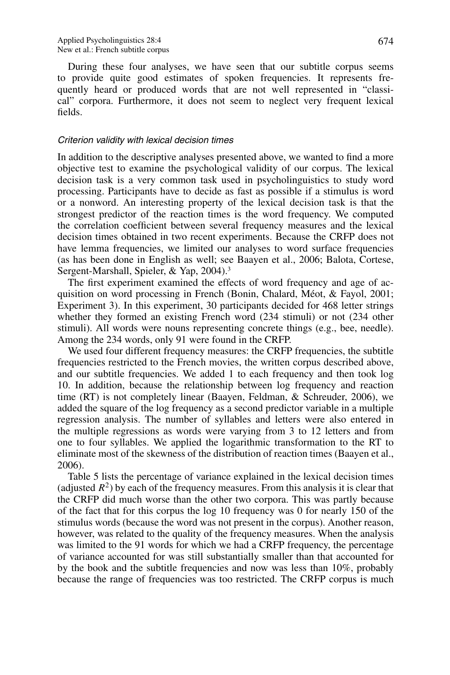During these four analyses, we have seen that our subtitle corpus seems to provide quite good estimates of spoken frequencies. It represents frequently heard or produced words that are not well represented in "classical" corpora. Furthermore, it does not seem to neglect very frequent lexical fields.

## Criterion validity with lexical decision times

In addition to the descriptive analyses presented above, we wanted to find a more objective test to examine the psychological validity of our corpus. The lexical decision task is a very common task used in psycholinguistics to study word processing. Participants have to decide as fast as possible if a stimulus is word or a nonword. An interesting property of the lexical decision task is that the strongest predictor of the reaction times is the word frequency. We computed the correlation coefficient between several frequency measures and the lexical decision times obtained in two recent experiments. Because the CRFP does not have lemma frequencies, we limited our analyses to word surface frequencies (as has been done in English as well; see Baayen et al., 2006; Balota, Cortese, Sergent-Marshall, Spieler, & Yap, 2004).<sup>3</sup>

The first experiment examined the effects of word frequency and age of acquisition on word processing in French (Bonin, Chalard, Meot, & Fayol, 2001; ´ Experiment 3). In this experiment, 30 participants decided for 468 letter strings whether they formed an existing French word (234 stimuli) or not (234 other stimuli). All words were nouns representing concrete things (e.g., bee, needle). Among the 234 words, only 91 were found in the CRFP.

We used four different frequency measures: the CRFP frequencies, the subtitle frequencies restricted to the French movies, the written corpus described above, and our subtitle frequencies. We added 1 to each frequency and then took log 10. In addition, because the relationship between log frequency and reaction time (RT) is not completely linear (Baayen, Feldman, & Schreuder, 2006), we added the square of the log frequency as a second predictor variable in a multiple regression analysis. The number of syllables and letters were also entered in the multiple regressions as words were varying from 3 to 12 letters and from one to four syllables. We applied the logarithmic transformation to the RT to eliminate most of the skewness of the distribution of reaction times (Baayen et al., 2006).

Table 5 lists the percentage of variance explained in the lexical decision times (adjusted  $R^2$ ) by each of the frequency measures. From this analysis it is clear that the CRFP did much worse than the other two corpora. This was partly because of the fact that for this corpus the log 10 frequency was 0 for nearly 150 of the stimulus words (because the word was not present in the corpus). Another reason, however, was related to the quality of the frequency measures. When the analysis was limited to the 91 words for which we had a CRFP frequency, the percentage of variance accounted for was still substantially smaller than that accounted for by the book and the subtitle frequencies and now was less than 10%, probably because the range of frequencies was too restricted. The CRFP corpus is much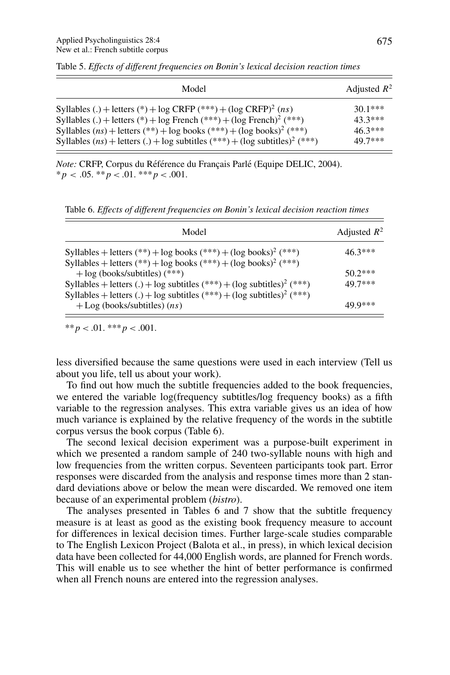| Model                                                                                       | Adjusted $R^2$ |
|---------------------------------------------------------------------------------------------|----------------|
| Syllables (.) + letters (*) + log CRFP (***) + (log CRFP) <sup>2</sup> (ns)                 | $30.1***$      |
| Syllables (.) + letters (*) + log French (***) + (log French) <sup>2</sup> (***)            | 43.3***        |
| Syllables $(ns)$ + letters $(***)$ + log books $(***)$ + (log books) <sup>2</sup> $(***)$   | $46.3***$      |
| Syllables $(ns)$ + letters (.) + log subtitles $(***)$ + (log subtitles) <sup>2</sup> (***) | 49.7***        |

Table 5. *Effects of different frequencies on Bonin's lexical decision reaction times*

*Note:* CRFP, Corpus du Référence du Français Parlé (Equipe DELIC, 2004).  $**p* < .05.$  \*\**p* < .01. \*\*\**p* < .001.

Table 6. *Effects of different frequencies on Bonin's lexical decision reaction times*

| Model                                                                                                                                                                    | Adjusted $R^2$ |
|--------------------------------------------------------------------------------------------------------------------------------------------------------------------------|----------------|
| Syllables + letters (**) + log books (***) + (log books) <sup>2</sup> (***)<br>Syllables + letters $(**)$ + log books $(***)$ + (log books) <sup>2</sup> $(***)$         | $46.3***$      |
| $+$ log (books/subtitles) (***)                                                                                                                                          | $50.2***$      |
| Syllables + letters (.) + log subtitles $(***) + (\log \text{subtitles})^2$ $(***)$<br>Syllables + letters (.) + log subtitles $(***) + (\log \text{subtitles})^2$ (***) | 49.7***        |
| $+$ Log (books/subtitles) $(ns)$                                                                                                                                         | 49.9***        |

 $**p < .01.$  \*\*\*  $p < .001.$ 

less diversified because the same questions were used in each interview (Tell us about you life, tell us about your work).

To find out how much the subtitle frequencies added to the book frequencies, we entered the variable log(frequency subtitles/log frequency books) as a fifth variable to the regression analyses. This extra variable gives us an idea of how much variance is explained by the relative frequency of the words in the subtitle corpus versus the book corpus (Table 6).

The second lexical decision experiment was a purpose-built experiment in which we presented a random sample of 240 two-syllable nouns with high and low frequencies from the written corpus. Seventeen participants took part. Error responses were discarded from the analysis and response times more than 2 standard deviations above or below the mean were discarded. We removed one item because of an experimental problem (*bistro*).

The analyses presented in Tables 6 and 7 show that the subtitle frequency measure is at least as good as the existing book frequency measure to account for differences in lexical decision times. Further large-scale studies comparable to The English Lexicon Project (Balota et al., in press), in which lexical decision data have been collected for 44,000 English words, are planned for French words. This will enable us to see whether the hint of better performance is confirmed when all French nouns are entered into the regression analyses.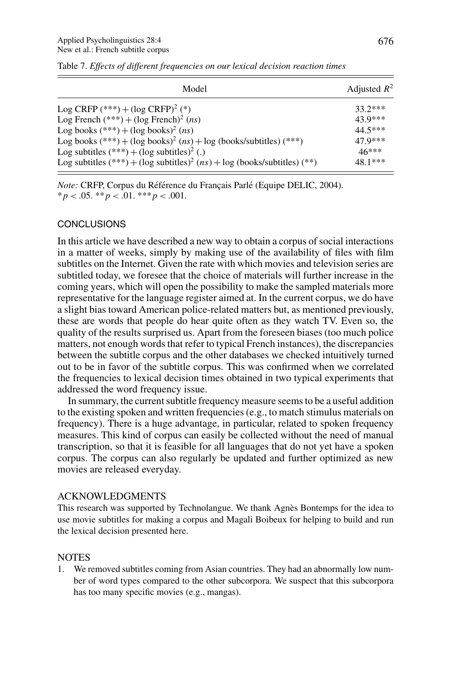| Model                                                                                   | Adjusted $R^2$ |
|-----------------------------------------------------------------------------------------|----------------|
| Log CRFP $(***) + (\log CRFP)^2 (*)$                                                    | $33.2***$      |
| Log French $(***) + (\log$ French <sup>2</sup> ( <i>ns</i> )                            | 43.9***        |
| Log books $(***) + (\log \text{books})^2$ (ns)                                          | $44.5***$      |
| Log books $(***) + (\log \text{books})^2$ $(ns) + \log$ (books/subtitles) $(***)$       | 47.9***        |
| Log subtitles $(***) + (\log \text{subtiles})^2$ (.)                                    | $46***$        |
| Log subtitles $(***) + (\log \text{subtiles})^2$ $(ns) + \log$ (books/subtitles) $(**)$ | $48.1***$      |

Table 7. *Effects of different frequencies on our lexical decision reaction times*

*Note:* CRFP, Corpus du Référence du Français Parlé (Equipe DELIC, 2004).  $**p* < .05.$   $**p* < .01.$   $**p* < .001.$ 

# **CONCLUSIONS**

In this article we have described a new way to obtain a corpus of social interactions in a matter of weeks, simply by making use of the availability of files with film subtitles on the Internet. Given the rate with which movies and television series are subtitled today, we foresee that the choice of materials will further increase in the coming years, which will open the possibility to make the sampled materials more representative for the language register aimed at. In the current corpus, we do have a slight bias toward American police-related matters but, as mentioned previously, these are words that people do hear quite often as they watch TV. Even so, the quality of the results surprised us. Apart from the foreseen biases (too much police matters, not enough words that refer to typical French instances), the discrepancies between the subtitle corpus and the other databases we checked intuitively turned out to be in favor of the subtitle corpus. This was confirmed when we correlated the frequencies to lexical decision times obtained in two typical experiments that addressed the word frequency issue.

In summary, the current subtitle frequency measure seems to be a useful addition to the existing spoken and written frequencies (e.g., to match stimulus materials on frequency). There is a huge advantage, in particular, related to spoken frequency measures. This kind of corpus can easily be collected without the need of manual transcription, so that it is feasible for all languages that do not yet have a spoken corpus. The corpus can also regularly be updated and further optimized as new movies are released everyday.

### ACKNOWLEDGMENTS

This research was supported by Technolangue. We thank Agnès Bontemps for the idea to use movie subtitles for making a corpus and Magali Boibeux for helping to build and run the lexical decision presented here.

# NOTES

1. We removed subtitles coming from Asian countries. They had an abnormally low number of word types compared to the other subcorpora. We suspect that this subcorpora has too many specific movies (e.g., mangas).